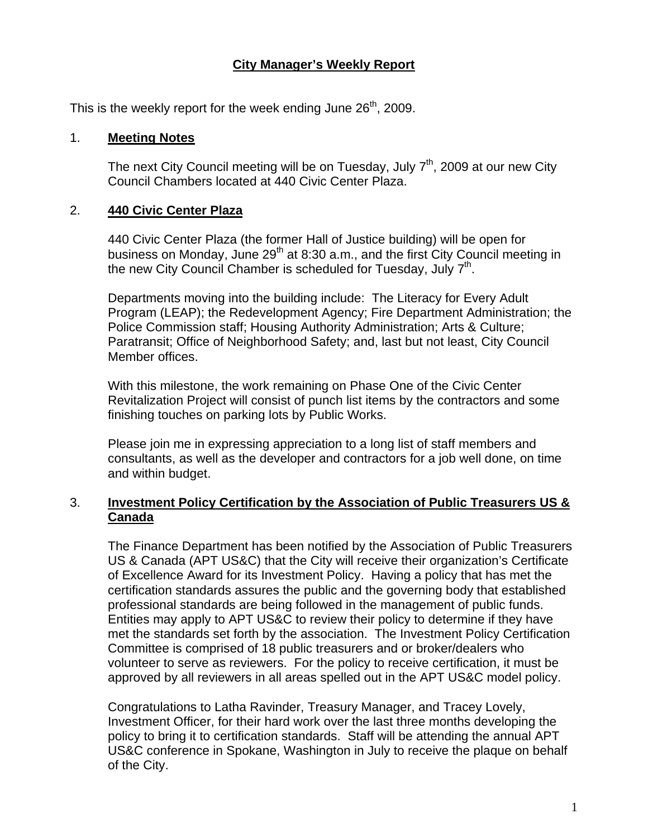#### **City Manager's Weekly Report**

This is the weekly report for the week ending June  $26<sup>th</sup>$ , 2009.

#### 1. **Meeting Notes**

The next City Council meeting will be on Tuesday, July  $7<sup>th</sup>$ , 2009 at our new City Council Chambers located at 440 Civic Center Plaza.

#### 2. **440 Civic Center Plaza**

440 Civic Center Plaza (the former Hall of Justice building) will be open for business on Monday, June  $29<sup>th</sup>$  at 8:30 a.m., and the first City Council meeting in the new City Council Chamber is scheduled for Tuesday, July  $7<sup>th</sup>$ .

Departments moving into the building include: The Literacy for Every Adult Program (LEAP); the Redevelopment Agency; Fire Department Administration; the Police Commission staff; Housing Authority Administration; Arts & Culture; Paratransit; Office of Neighborhood Safety; and, last but not least, City Council Member offices.

With this milestone, the work remaining on Phase One of the Civic Center Revitalization Project will consist of punch list items by the contractors and some finishing touches on parking lots by Public Works.

Please join me in expressing appreciation to a long list of staff members and consultants, as well as the developer and contractors for a job well done, on time and within budget.

#### 3. **Investment Policy Certification by the Association of Public Treasurers US & Canada**

The Finance Department has been notified by the Association of Public Treasurers US & Canada (APT US&C) that the City will receive their organization's Certificate of Excellence Award for its Investment Policy. Having a policy that has met the certification standards assures the public and the governing body that established professional standards are being followed in the management of public funds. Entities may apply to APT US&C to review their policy to determine if they have met the standards set forth by the association. The Investment Policy Certification Committee is comprised of 18 public treasurers and or broker/dealers who volunteer to serve as reviewers. For the policy to receive certification, it must be approved by all reviewers in all areas spelled out in the APT US&C model policy.

Congratulations to Latha Ravinder, Treasury Manager, and Tracey Lovely, Investment Officer, for their hard work over the last three months developing the policy to bring it to certification standards. Staff will be attending the annual APT US&C conference in Spokane, Washington in July to receive the plaque on behalf of the City.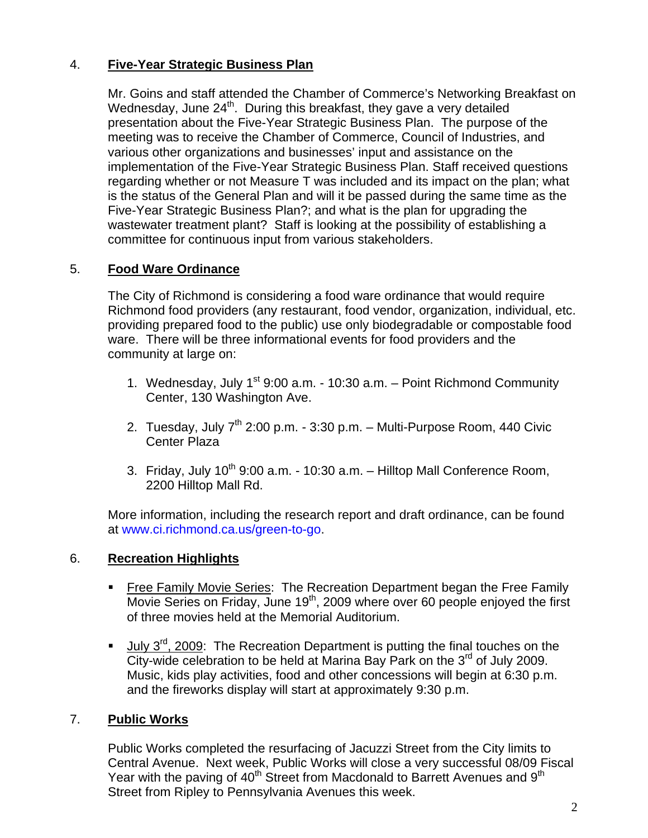## 4. **Five-Year Strategic Business Plan**

Mr. Goins and staff attended the Chamber of Commerce's Networking Breakfast on Wednesday, June  $24<sup>th</sup>$ . During this breakfast, they gave a very detailed presentation about the Five-Year Strategic Business Plan. The purpose of the meeting was to receive the Chamber of Commerce, Council of Industries, and various other organizations and businesses' input and assistance on the implementation of the Five-Year Strategic Business Plan. Staff received questions regarding whether or not Measure T was included and its impact on the plan; what is the status of the General Plan and will it be passed during the same time as the Five-Year Strategic Business Plan?; and what is the plan for upgrading the wastewater treatment plant? Staff is looking at the possibility of establishing a committee for continuous input from various stakeholders.

# 5. **Food Ware Ordinance**

The City of Richmond is considering a food ware ordinance that would require Richmond food providers (any restaurant, food vendor, organization, individual, etc. providing prepared food to the public) use only biodegradable or compostable food ware. There will be three informational events for food providers and the community at large on:

- 1. Wednesday, July  $1^{st}$  9:00 a.m. 10:30 a.m. Point Richmond Community Center, 130 Washington Ave.
- 2. Tuesday, July  $7<sup>th</sup>$  2:00 p.m. 3:30 p.m. Multi-Purpose Room, 440 Civic Center Plaza
- 3. Friday, July  $10^{th}$  9:00 a.m. 10:30 a.m.  $-$  Hilltop Mall Conference Room, 2200 Hilltop Mall Rd.

More information, including the research report and draft ordinance, can be found at [www.ci.richmond.ca.us/green-to-go](http://www.ci.richmond.ca.us/green-to-go).

## 6. **Recreation Highlights**

- **Free Family Movie Series: The Recreation Department began the Free Family** Movie Series on Friday, June 19<sup>th</sup>, 2009 where over 60 people enjoyed the first of three movies held at the Memorial Auditorium.
- **July** 3<sup>rd</sup>, 2009: The Recreation Department is putting the final touches on the City-wide celebration to be held at Marina Bay Park on the  $3<sup>rd</sup>$  of July 2009. Music, kids play activities, food and other concessions will begin at 6:30 p.m. and the fireworks display will start at approximately 9:30 p.m.

## 7. **Public Works**

Public Works completed the resurfacing of Jacuzzi Street from the City limits to Central Avenue. Next week, Public Works will close a very successful 08/09 Fiscal Year with the paving of 40<sup>th</sup> Street from Macdonald to Barrett Avenues and 9<sup>th</sup> Street from Ripley to Pennsylvania Avenues this week.